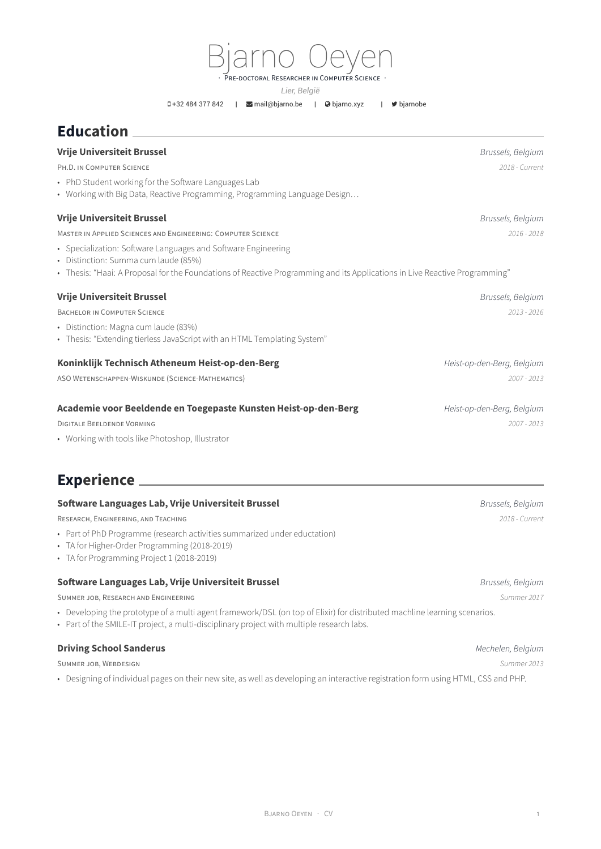Bjarno Oeyen DOCTORAL RESEARCHER IN COMPUTER SCIENCE

*Lier, België*

+32 484 377 842 | [mail@bjarno.be](mailto:mail@bjarno.be) | [bjarno.xyz](http://bjarno.xyz) | [bjarnobe](https://twitter.com/bjarnobe)

## **Education**

| <b>Vrije Universiteit Brussel</b>                                                                                          | Brussels, Belgium          |
|----------------------------------------------------------------------------------------------------------------------------|----------------------------|
| PH.D. IN COMPUTER SCIENCE                                                                                                  | 2018 - Current             |
| • PhD Student working for the Software Languages Lab                                                                       |                            |
| • Working with Big Data, Reactive Programming, Programming Language Design                                                 |                            |
| <b>Vrije Universiteit Brussel</b>                                                                                          | Brussels, Belgium          |
| MASTER IN APPLIED SCIENCES AND ENGINEERING: COMPUTER SCIENCE                                                               | $2016 - 2018$              |
| • Specialization: Software Languages and Software Engineering<br>• Distinction: Summa cum laude (85%)                      |                            |
| • Thesis: "Haai: A Proposal for the Foundations of Reactive Programming and its Applications in Live Reactive Programming" |                            |
| <b>Vrije Universiteit Brussel</b>                                                                                          | Brussels, Belgium          |
| <b>BACHELOR IN COMPUTER SCIENCE</b>                                                                                        | 2013 - 2016                |
| • Distinction: Magna cum laude (83%)                                                                                       |                            |
| • Thesis: "Extending tierless JavaScript with an HTML Templating System"                                                   |                            |
| Koninklijk Technisch Atheneum Heist-op-den-Berg                                                                            | Heist-op-den-Berg, Belgium |
| ASO WETENSCHAPPEN-WISKUNDE (SCIENCE-MATHEMATICS)                                                                           | $2007 - 2013$              |
| Academie voor Beeldende en Toegepaste Kunsten Heist-op-den-Berg                                                            | Heist-op-den-Berg, Belgium |
| <b>DIGITALE BEELDENDE VORMING</b>                                                                                          | $2007 - 2013$              |
| • Working with tools like Photoshop, Illustrator                                                                           |                            |
| Experience ______                                                                                                          |                            |
| Software Languages Lab, Vrije Universiteit Brussel                                                                         | Brussels, Belgium          |

RESEARCH, ENGINEERING, AND TEACHING *2018 - Current*

- Part of PhD Programme (research activities summarized under eductation)
- TA for Higher-Order Programming (2018-2019)
- TA for Programming Project 1 (2018-2019)

## **Software Languages Lab, Vrije Universiteit Brussel** *Brussels, Belgium*

SUMMER JOB, RESEARCH AND ENGINEERING *Summer 2017*

• Developing the prototype of a multi agent framework/DSL (on top of Elixir) for distributed machline learning scenarios.

• Part of the SMILE-IT project, a multi-disciplinary project with multiple research labs.

## **Driving School Sanderus** *Mechelen, Belgium*

SUMMER JOB, WEBDESIGN *Summer 2013*

• Designing of individual pages on their new site, as well as developing an interactive registration form using HTML, CSS and PHP.